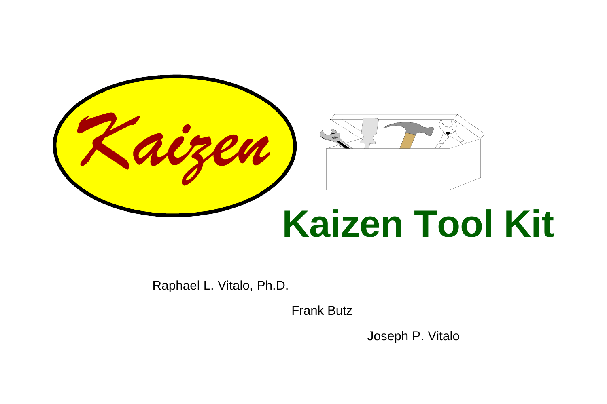

Raphael L. Vitalo, Ph.D.

Frank Butz

Joseph P. Vitalo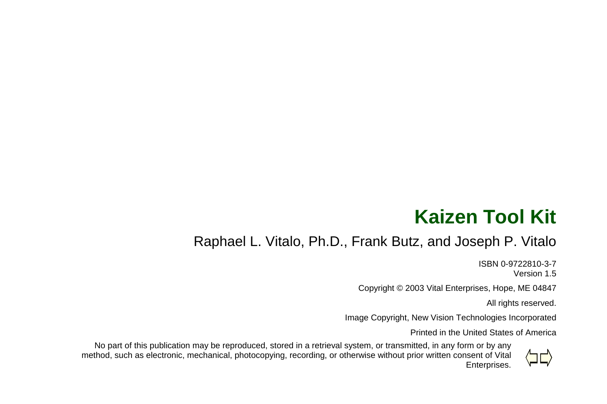# **Kaizen Tool Kit**

#### Raphael L. Vitalo, Ph.D., Frank Butz, and Joseph P. Vitalo

ISBN 0-9722810-3-7Version 1.5

Copyright © 2003 Vital Enterprises, Hope, ME 04847

All rights reserved.

Image Copyright, New Vision Technologies Incorporated

Printed in the United States of America



No part of this publication may be reproduced, stored in a retrieval system, or transmitted, in any form or by any method, such as electronic, mechanical, photocopying, recording, or otherwise without prior written consent of Vital Enterprises.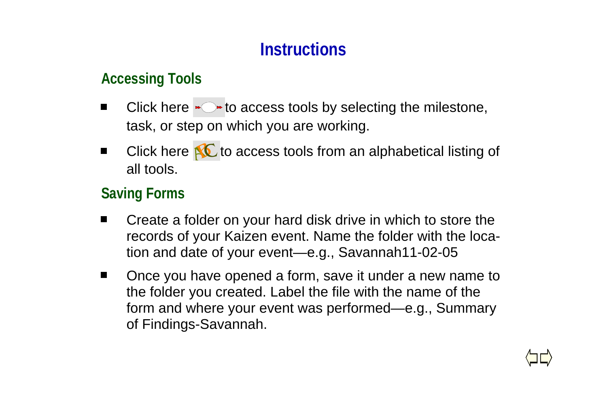### **Instructions**

#### **Accessing Tools**

- Click here  $\rightarrow \rightarrow$  to access tools by selecting the milestone, task, or step on which you are working.
- Click here  $\mathbf{N}$  to access tools from an alphabetical listing of all tools.

#### **Saving Forms**

- Create a folder on your hard disk drive in which to store the records of your Kaizen event. Name the folder with the location and date of your event—e.g., Savannah11-02-05
- Once you have opened a form, save it under a new name to the folder you created. Label the file with the name of the form and where your event was performed—e.g., Summary of Findings-Savannah.

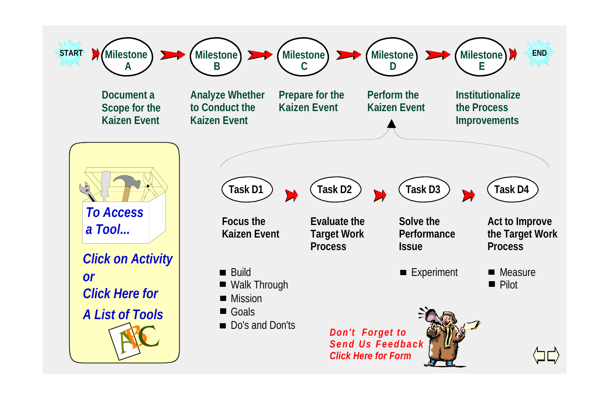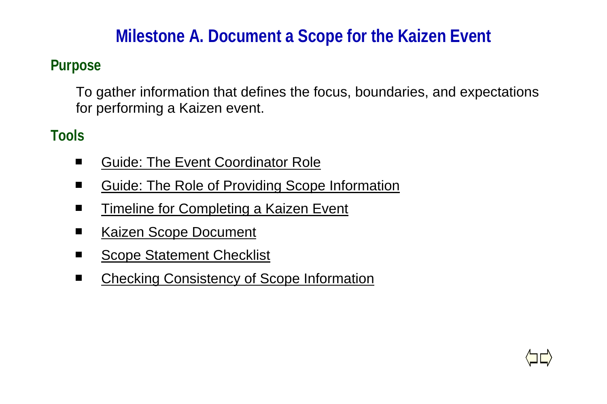### **Milestone A. Document a Scope for the Kaizen Event**

#### **Purpose**

To gather information that defines the focus, boundaries, and expectations for performing a Kaizen event.

- $\blacksquare$ Guide: The Event Coordinator Role
- Guide: The Role of Providing Scope Information .
- Timeline for Completing a Kaizen Event .
- Kaizen Scope Document п
- Scope Statement Checklist
- $\blacksquare$ Checking Consistency of Scope Information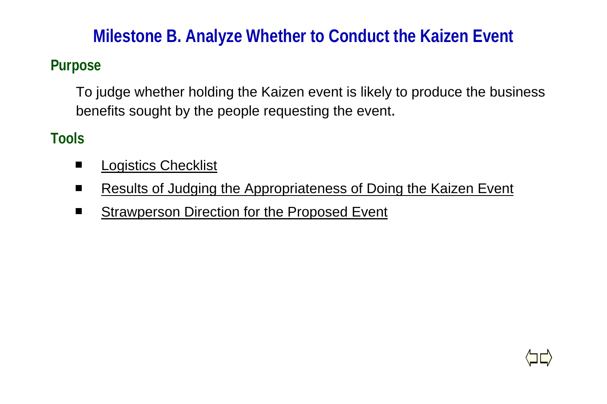### **Milestone B. Analyze Whether to Conduct the Kaizen Event**

### **Purpose**

To judge whether holding the Kaizen event is likely to produce the business benefits sought by the people requesting the event.

- $\blacksquare$ Logistics Checklist
- $\blacksquare$ Results of Judging the Appropriateness of Doing the Kaizen Event
- Strawperson Direction for the Proposed Event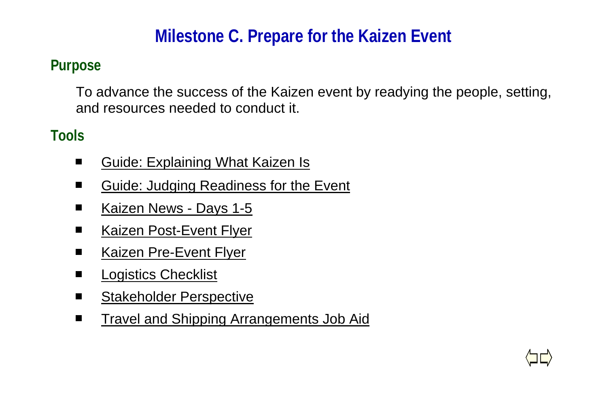# **Milestone C. Prepare for the Kaizen Event**

### **Purpose**

To advance the success of the Kaizen event by readying the people, setting, and resources needed to conduct it.

- $\blacksquare$ Guide: Explaining What Kaizen Is
- Guide: Judging Readiness for the Event  $\blacksquare$
- Kaizen News Days 1-5  $\blacksquare$
- Kaizen Post-Event Flyer П
- Kaizen Pre-Event Flyer  $\blacksquare$
- Logistics Checklist  $\blacksquare$
- Stakeholder Perspective
- Travel and Shipping Arrangements Job Aid $\blacksquare$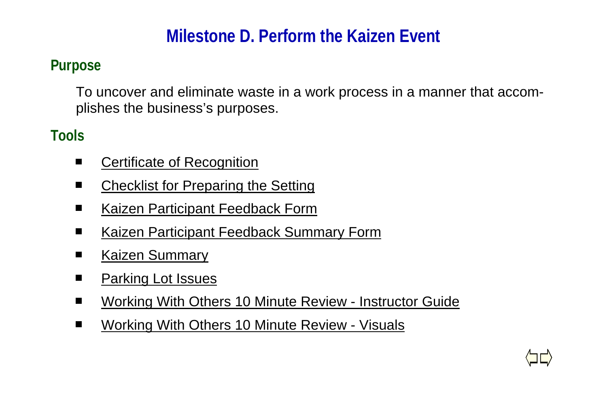# **Milestone D. Perform the Kaizen Event**

### **Purpose**

To uncover and eliminate waste in a work process in a manner that accomplishes the business's purposes.

- $\blacksquare$ Certificate of Recognition
- Checklist for Preparing the Setting .
- Kaizen Participant Feedback Form  $\blacksquare$
- Kaizen Participant Feedback Summary Form  $\blacksquare$
- Kaizen Summary п
- Parking Lot Issues  $\blacksquare$
- Working With Others 10 Minute Review Instructor Guide .
- Working With Others 10 Minute Review Visuals $\blacksquare$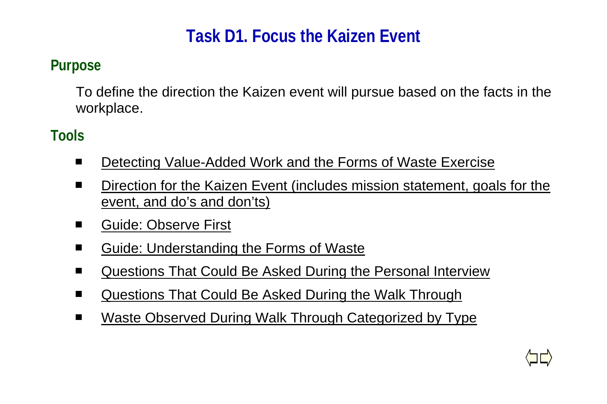# **Task D1. Focus the Kaizen Event**

#### **Purpose**

To define the direction the Kaizen event will pursue based on the facts in the workplace.

- $\blacksquare$ Detecting Value-Added Work and the Forms of Waste Exercise
- Direction for the Kaizen Event (includes mission statement, goals for the . event, and do's and don'ts)
- $\blacksquare$ Guide: Observe First
- Guide: Understanding the Forms of Waste  $\blacksquare$
- Questions That Could Be Asked During the Personal Interview  $\blacksquare$
- Questions That Could Be Asked During the Walk Through  $\blacksquare$
- $\blacksquare$ Waste Observed During Walk Through Categorized by Type

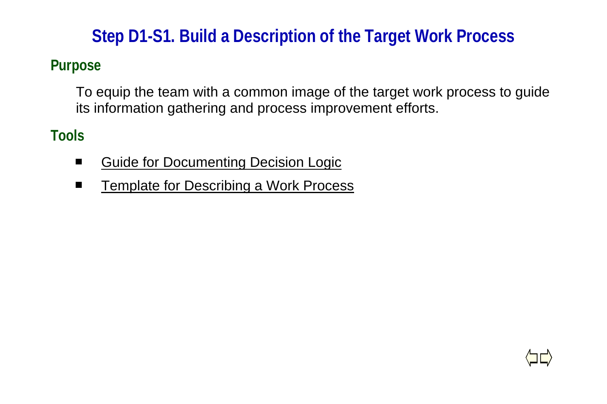# **Step D1-S1. Build a Description of the Target Work Process**

### **Purpose**

To equip the team with a common image of the target work process to guide its information gathering and process improvement efforts.

- $\blacksquare$ Guide for Documenting Decision Logic
- Template for Describing a Work Process $\blacksquare$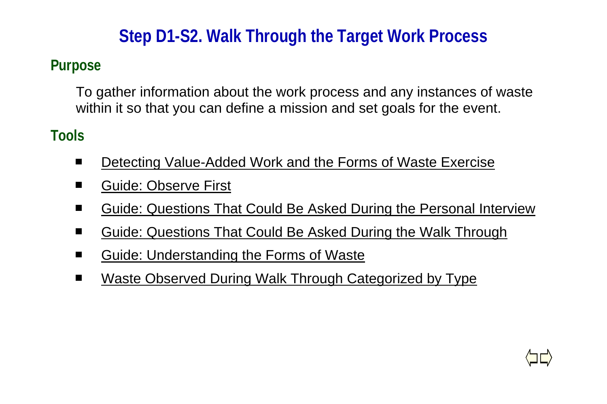# **Step D1-S2. Walk Through the Target Work Process**

### **Purpose**

To gather information about the work process and any instances of waste within it so that you can define a mission and set goals for the event.

- $\blacksquare$ Detecting Value-Added Work and the Forms of Waste Exercise
- . Guide: Observe First
- Guide: Questions That Could Be Asked During the Personal Interview .
- Guide: Questions That Could Be Asked During the Walk Through п
- Guide: Understanding the Forms of Waste
- $\blacksquare$ Waste Observed During Walk Through Categorized by Type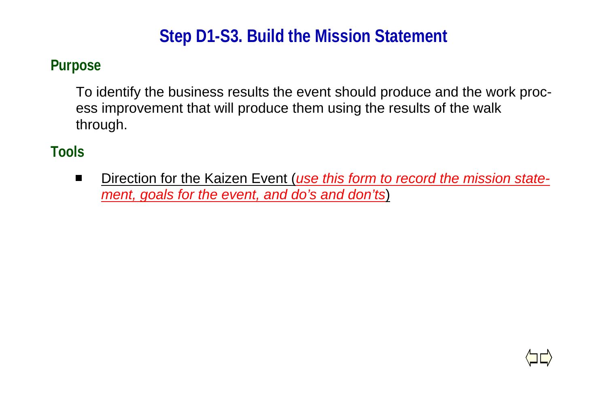# **Step D1-S3. Build the Mission Statement**

#### **Purpose**

To identify the business results the event should produce and the work process improvement that will produce them using the results of the walk through.

### **Tools**

 $\blacksquare$ Direction for the Kaizen Event (*use this form to record the mission statement, goals for the event, and do's and don'ts*)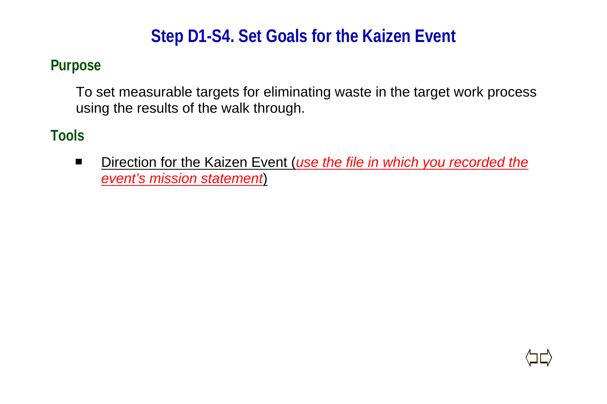# **Step D1-S4. Set Goals for the Kaizen Event**

#### **Purpose**

To set measurable targets for eliminating waste in the target work process using the results of the walk through.

### **Tools**

 $\blacksquare$ Direction for the Kaizen Event (*use the file in which you recorded the event's mission statement*)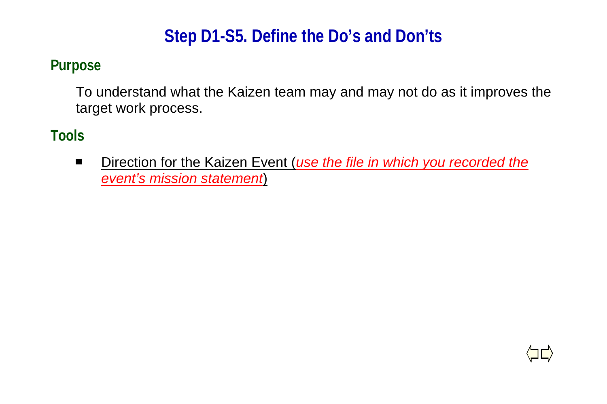### **Step D1-S5. Define the Do's and Don'ts**

#### **Purpose**

To understand what the Kaizen team may and may not do as it improves the target work process.

#### **Tools**

Direction for the Kaizen Event (*use the file in which you recorded the*  $\blacksquare$ *event's mission statement*)

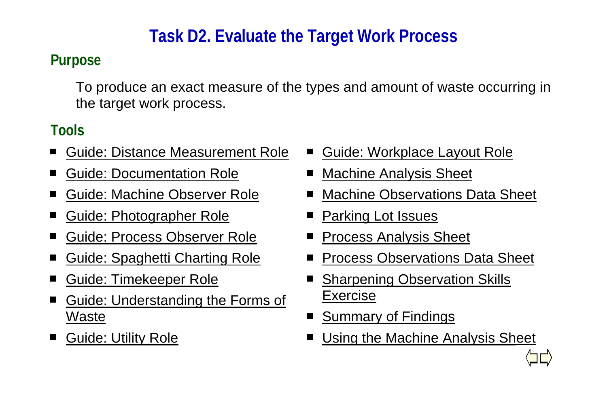# **Task D2. Evaluate the Target Work Process**

### **Purpose**

To produce an exact measure of the types and amount of waste occurring in the target work process.

- Guide: Distance Measurement Role■
- Guide: Documentation Role.
- $\blacksquare$ Guide: Machine Observer Role
- Guide: Photographer Role  $\blacksquare$
- п Guide: Process Observer Role
- Guide: Spaghetti Charting Role ■
- Guide: Timekeeper Role п
- Guide: Understanding the Forms of <u>Waste</u>
- Guide: Utility Role
- Guide: Workplace Layout Role  $\blacksquare$
- Machine Analysis Sheet
- Machine Observations Data Sheet
- Parking Lot Issues
- Process Analysis Sheet
- Process Observations Data Sheet
- Sharpening Observation Skills п Exercise
- Summary of Findings
- Using the Machine Analysis Sheet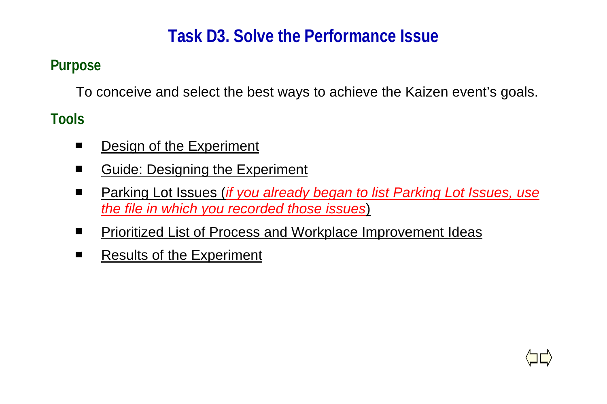# **Task D3. Solve the Performance Issue**

### **Purpose**

To conceive and select the best ways to achieve the Kaizen event's goals.

- Design of the Experiment  $\blacksquare$
- Guide: Designing the Experiment .
- $\blacksquare$ Parking Lot Issues (*if you already began to list Parking Lot Issues, use the file in which you recorded those issues*)
- Prioritized List of Process and Workplace Improvement Ideas  $\blacksquare$
- Results of the Experimentп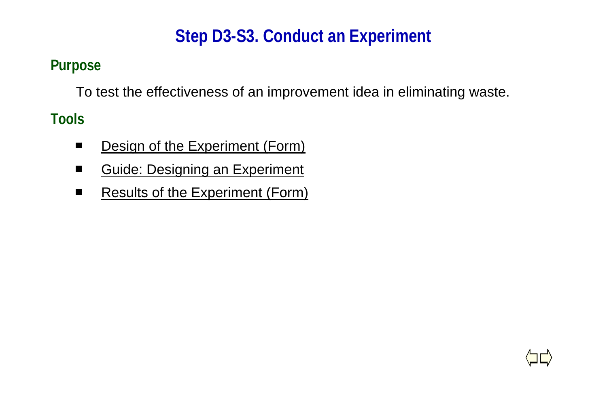# **Step D3-S3. Conduct an Experiment**

### **Purpose**

To test the effectiveness of an improvement idea in eliminating waste.

- Design of the Experiment (Form)  $\blacksquare$
- Guide: Designing an Experiment  $\blacksquare$
- $\blacksquare$ Results of the Experiment (Form)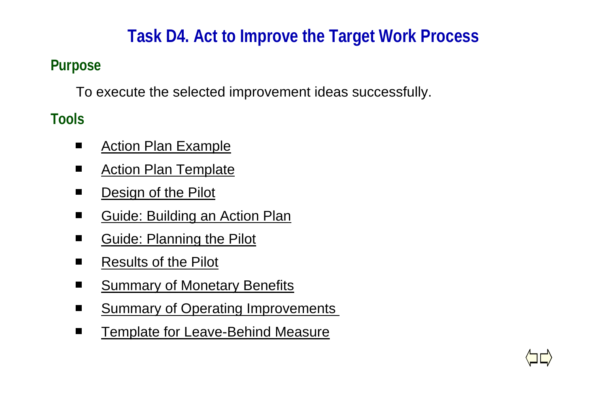# **Task D4. Act to Improve the Target Work Process**

### **Purpose**

To execute the selected improvement ideas successfully.

- Action Plan Example  $\blacksquare$
- Action Plan Template  $\blacksquare$
- Design of the Pilot  $\blacksquare$
- Guide: Building an Action Plan  $\blacksquare$
- Guide: Planning the Pilot п
- $\blacksquare$ Results of the Pilot
- Summary of Monetary Benefits  $\blacksquare$
- Summary of Operating Improvements
- Template for Leave-Behind Measure $\blacksquare$

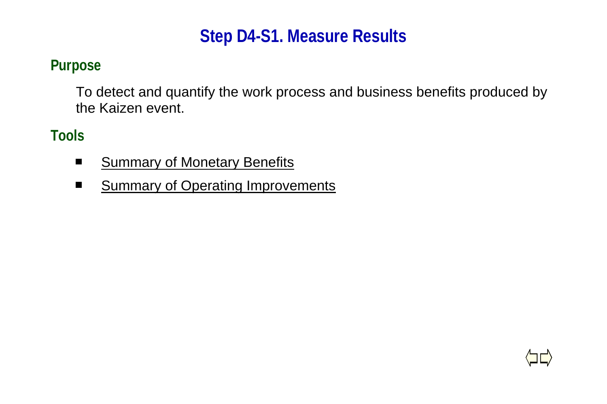### **Step D4-S1. Measure Results**

#### **Purpose**

To detect and quantify the work process and business benefits produced by the Kaizen event.

- $\blacksquare$ **Summary of Monetary Benefits**
- **Summary of Operating Improvements**  $\blacksquare$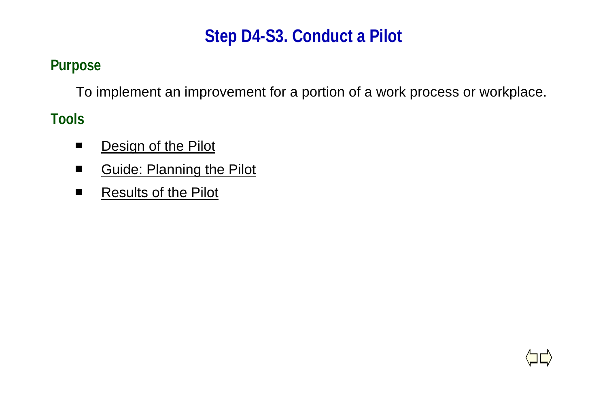# **Step D4-S3. Conduct a Pilot**

### **Purpose**

To implement an improvement for a portion of a work process or workplace.

- Design of the Pilot  $\blacksquare$
- Guide: Planning the Pilot  $\blacksquare$
- $\blacksquare$ Results of the Pilot

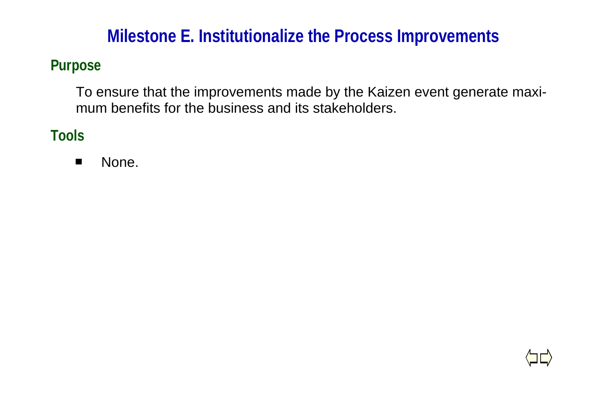### **Milestone E. Institutionalize the Process Improvements**

#### **Purpose**

To ensure that the improvements made by the Kaizen event generate maximum benefits for the business and its stakeholders.

**Tools**

 $\blacksquare$ None.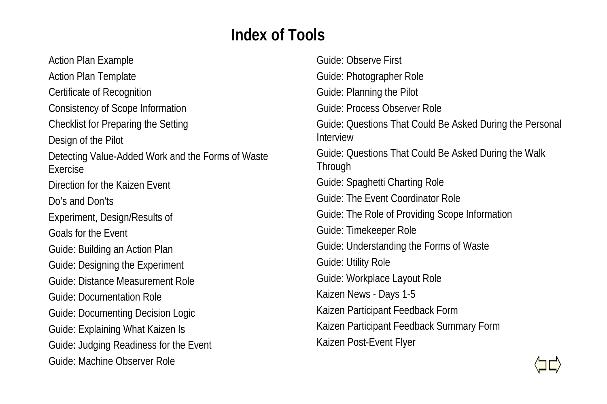### **Index of Tools**

Action Plan Example Action Plan Template Certificate of Recognition Consistency of Scope Information Checklist for Preparing the Setting Design of the Pilot Detecting Value-Added Work and the Forms of Waste ExerciseDirection for the Kaizen EventDo's and Don'tsExperiment, Design/Results of Goals for the EventGuide: Building an Action Plan Guide: Designing the Experiment Guide: Distance Measurement RoleGuide: Documentation RoleGuide: Documenting Decision Logic Guide: Explaining What Kaizen Is Guide: Judging Readiness for the Event Guide: Machine Observer Role

Guide: Observe FirstGuide: Photographer Role Guide: Planning the Pilot Guide: Process Observer RoleGuide: Questions That Could Be Asked During the Personal InterviewGuide: Questions That Could Be Asked During the Walk **Through** Guide: Spaghetti Charting Role Guide: The Event Coordinator RoleGuide: The Role of Providing Scope Information Guide: Timekeeper Role Guide: Understanding the Forms of Waste Guide: Utility Role Guide: Workplace Layout Role Kaizen News - Days 1-5 Kaizen Participant Feedback Form Kaizen Participant Feedback Summary Form Kaizen Post-Event Flyer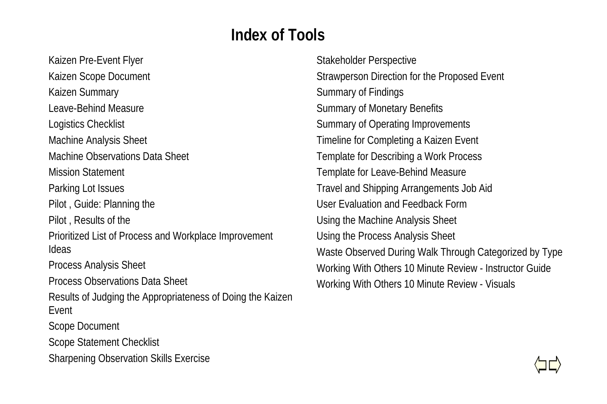### **Index of Tools**

Kaizen Pre-Event Flyer Kaizen Scope Document Kaizen Summary Leave-Behind MeasureLogistics Checklist Machine Analysis Sheet Machine Observations Data SheetMission StatementParking Lot Issues Pilot , Guide: Planning the Pilot , Results of the Prioritized List of Process and Workplace Improvement IdeasProcess Analysis Sheet Process Observations Data SheetResults of Judging the Appropriateness of Doing the Kaizen EventScope Document Scope Statement Checklist Sharpening Observation Skills Exercise

Stakeholder Perspective Strawperson Direction for the Proposed Event Summary of Findings Summary of Monetary Benefits Summary of Operating Improvements Timeline for Completing a Kaizen Event Template for Describing a Work Process Template for Leave-Behind Measure Travel and Shipping Arrangements Job Aid User Evaluation and Feedback FormUsing the Machine Analysis Sheet Using the Process Analysis Sheet Waste Observed During Walk Through Categorized by Type Working With Others 10 Minute Review - Instructor Guide Working With Others 10 Minute Review - Visuals